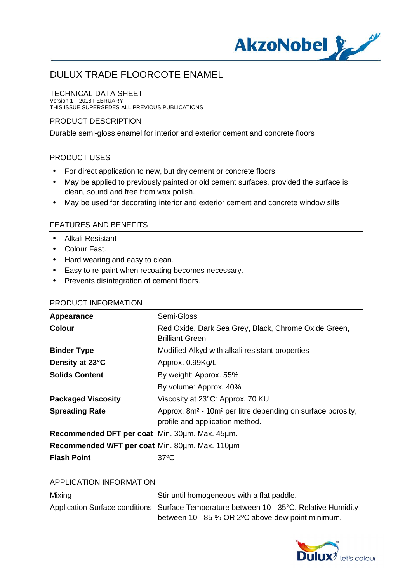

#### TECHNICAL DATA SHEET

Version 1 – 2018 FEBRUARY THIS ISSUE SUPERSEDES ALL PREVIOUS PUBLICATIONS

#### PRODUCT DESCRIPTION

Durable semi-gloss enamel for interior and exterior cement and concrete floors

#### PRODUCT USES

- For direct application to new, but dry cement or concrete floors.
- May be applied to previously painted or old cement surfaces, provided the surface is t, clean, sound and free from wax polish.
- May be used for decorating interior and exterior cement and concrete window sills  $\mathbf{r}$

#### FEATURES AND BENEFITS

- Alkali Resistant
- Colour Fast.
- Hard wearing and easy to clean.
- Easy to re-paint when recoating becomes necessary.
- Prevents disintegration of cement floors.

#### PRODUCT INFORMATION

| Appearance                                     | Semi-Gloss                                                                                                             |
|------------------------------------------------|------------------------------------------------------------------------------------------------------------------------|
| <b>Colour</b>                                  | Red Oxide, Dark Sea Grey, Black, Chrome Oxide Green,<br><b>Brilliant Green</b>                                         |
| <b>Binder Type</b>                             | Modified Alkyd with alkali resistant properties                                                                        |
| Density at 23°C                                | Approx. 0.99Kg/L                                                                                                       |
| <b>Solids Content</b>                          | By weight: Approx. 55%                                                                                                 |
|                                                | By volume: Approx. 40%                                                                                                 |
| <b>Packaged Viscosity</b>                      | Viscosity at 23°C: Approx. 70 KU                                                                                       |
| <b>Spreading Rate</b>                          | Approx. 8m <sup>2</sup> - 10m <sup>2</sup> per litre depending on surface porosity,<br>profile and application method. |
| Recommended DFT per coat Min. 30um. Max. 45um. |                                                                                                                        |
| Recommended WFT per coat Min. 80um. Max. 110um |                                                                                                                        |
| <b>Flash Point</b>                             | $37^{\circ}$ C                                                                                                         |

#### APPLICATION INFORMATION

| Mixing | Stir until homogeneous with a flat paddle.                                                                                                    |
|--------|-----------------------------------------------------------------------------------------------------------------------------------------------|
|        | Application Surface conditions Surface Temperature between 10 - 35°C. Relative Humidity<br>between 10 - 85 % OR 2 °C above dew point minimum. |

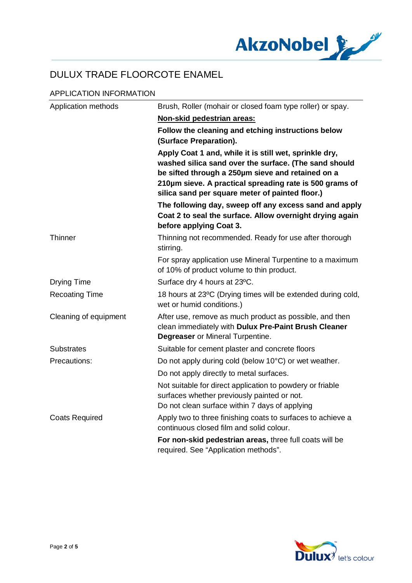

### APPLICATION INFORMATION

| Application methods   | Brush, Roller (mohair or closed foam type roller) or spay.                                                                                                                                                                                                                         |
|-----------------------|------------------------------------------------------------------------------------------------------------------------------------------------------------------------------------------------------------------------------------------------------------------------------------|
|                       | Non-skid pedestrian areas:                                                                                                                                                                                                                                                         |
|                       | Follow the cleaning and etching instructions below<br>(Surface Preparation).                                                                                                                                                                                                       |
|                       | Apply Coat 1 and, while it is still wet, sprinkle dry,<br>washed silica sand over the surface. (The sand should<br>be sifted through a 250µm sieve and retained on a<br>210um sieve. A practical spreading rate is 500 grams of<br>silica sand per square meter of painted floor.) |
|                       | The following day, sweep off any excess sand and apply<br>Coat 2 to seal the surface. Allow overnight drying again<br>before applying Coat 3.                                                                                                                                      |
| Thinner               | Thinning not recommended. Ready for use after thorough<br>stirring.                                                                                                                                                                                                                |
|                       | For spray application use Mineral Turpentine to a maximum<br>of 10% of product volume to thin product.                                                                                                                                                                             |
| <b>Drying Time</b>    | Surface dry 4 hours at 23°C.                                                                                                                                                                                                                                                       |
| <b>Recoating Time</b> | 18 hours at 23°C (Drying times will be extended during cold,<br>wet or humid conditions.)                                                                                                                                                                                          |
| Cleaning of equipment | After use, remove as much product as possible, and then<br>clean immediately with Dulux Pre-Paint Brush Cleaner<br><b>Degreaser</b> or Mineral Turpentine.                                                                                                                         |
| <b>Substrates</b>     | Suitable for cement plaster and concrete floors                                                                                                                                                                                                                                    |
| Precautions:          | Do not apply during cold (below 10°C) or wet weather.                                                                                                                                                                                                                              |
|                       | Do not apply directly to metal surfaces.                                                                                                                                                                                                                                           |
|                       | Not suitable for direct application to powdery or friable<br>surfaces whether previously painted or not.<br>Do not clean surface within 7 days of applying                                                                                                                         |
| <b>Coats Required</b> | Apply two to three finishing coats to surfaces to achieve a<br>continuous closed film and solid colour.                                                                                                                                                                            |
|                       | For non-skid pedestrian areas, three full coats will be<br>required. See "Application methods".                                                                                                                                                                                    |

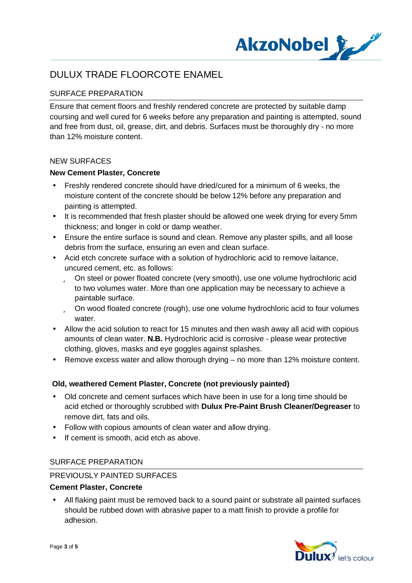

## SURFACE PREPARATION

Ensure that cement floors and freshly rendered concrete are protected by suitable damp coursing and well cured for 6 weeks before any preparation and painting is attempted, sound and free from dust, oil, grease, dirt, and debris. Surfaces must be thoroughly dry - no more than 12% moisture content.

#### NEW SURFACES

#### **New Cement Plaster, Concrete**

- Freshly rendered concrete should have dried/cured for a minimum of 6 weeks, the moisture content of the concrete should be below 12% before any preparation and painting is attempted.
- It is recommended that fresh plaster should be allowed one week drying for every 5mm thickness; and longer in cold or damp weather.
- Ensure the entire surface is sound and clean. Remove any plaster spills, and all loose debris from the surface, ensuring an even and clean surface.
- Acid etch concrete surface with a solution of hydrochloric acid to remove laitance, uncured cement, etc. as follows:
	- ü On steel or power floated concrete (very smooth), use one volume hydrochloric acid to two volumes water. More than one application may be necessary to achieve a paintable surface.
	- ü On wood floated concrete (rough), use one volume hydrochloric acid to four volumes water.
- Allow the acid solution to react for 15 minutes and then wash away all acid with copious amounts of clean water. **N.B.** Hydrochloric acid is corrosive - please wear protective clothing, gloves, masks and eye goggles against splashes.
- Remove excess water and allow thorough drying no more than 12% moisture content.

## **Old, weathered Cement Plaster, Concrete (not previously painted)**

- Old concrete and cement surfaces which have been in use for a long time should be acid etched or thoroughly scrubbed with **Dulux Pre-Paint Brush Cleaner/Degreaser** to remove dirt, fats and oils.
- Follow with copious amounts of clean water and allow drying.
- If cement is smooth, acid etch as above.

#### SURFACE PREPARATION

#### PREVIOUSLY PAINTED SURFACES

#### **Cement Plaster, Concrete**

 All flaking paint must be removed back to a sound paint or substrate all painted surfaces should be rubbed down with abrasive paper to a matt finish to provide a profile for adhesion.

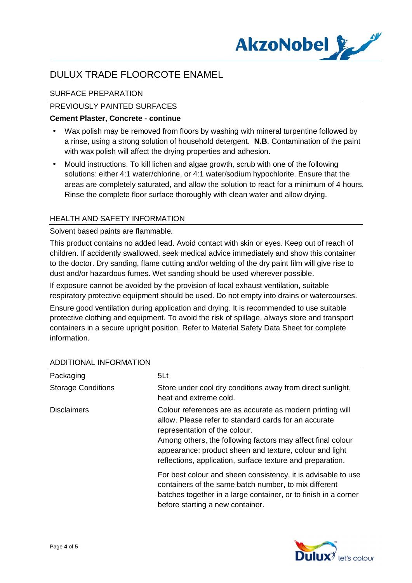

## SURFACE PREPARATION

## PREVIOUSLY PAINTED SURFACES

#### **Cement Plaster, Concrete - continue**

- Wax polish may be removed from floors by washing with mineral turpentine followed by a rinse, using a strong solution of household detergent. **N.B**. Contamination of the paint with wax polish will affect the drying properties and adhesion.
- Mould instructions. To kill lichen and algae growth, scrub with one of the following solutions: either 4:1 water/chlorine, or 4:1 water/sodium hypochlorite. Ensure that the areas are completely saturated, and allow the solution to react for a minimum of 4 hours. Rinse the complete floor surface thoroughly with clean water and allow drying.

#### HEALTH AND SAFETY INFORMATION

#### Solvent based paints are flammable.

This product contains no added lead. Avoid contact with skin or eyes. Keep out of reach of children. If accidently swallowed, seek medical advice immediately and show this container to the doctor. Dry sanding, flame cutting and/or welding of the dry paint film will give rise to dust and/or hazardous fumes. Wet sanding should be used wherever possible.

If exposure cannot be avoided by the provision of local exhaust ventilation, suitable respiratory protective equipment should be used. Do not empty into drains or watercourses.

Ensure good ventilation during application and drying. It is recommended to use suitable protective clothing and equipment. To avoid the risk of spillage, always store and transport containers in a secure upright position. Refer to Material Safety Data Sheet for complete information.

| Packaging                 | 5Lt                                                                                                                                                                                                                                                                                                                                         |
|---------------------------|---------------------------------------------------------------------------------------------------------------------------------------------------------------------------------------------------------------------------------------------------------------------------------------------------------------------------------------------|
| <b>Storage Conditions</b> | Store under cool dry conditions away from direct sunlight,<br>heat and extreme cold.                                                                                                                                                                                                                                                        |
| <b>Disclaimers</b>        | Colour references are as accurate as modern printing will<br>allow. Please refer to standard cards for an accurate<br>representation of the colour.<br>Among others, the following factors may affect final colour<br>appearance: product sheen and texture, colour and light<br>reflections, application, surface texture and preparation. |
|                           | For best colour and sheen consistency, it is advisable to use<br>containers of the same batch number, to mix different<br>batches together in a large container, or to finish in a corner<br>before starting a new container.                                                                                                               |

## ADDITIONAL INFORMATION